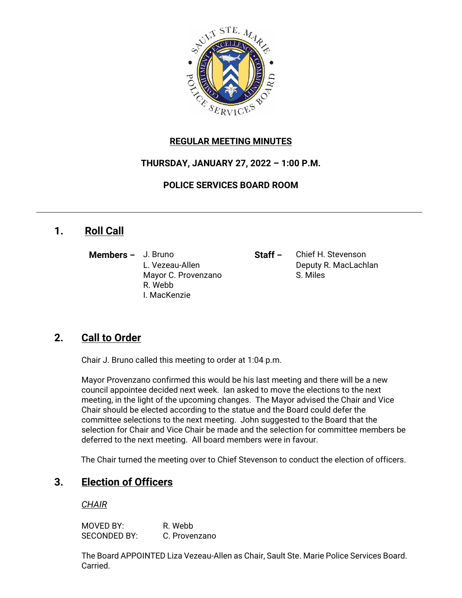

### **REGULAR MEETING MINUTES**

### **THURSDAY, JANUARY 27, 2022 – 1:00 P.M.**

**POLICE SERVICES BOARD ROOM**

## **1. Roll Call**

**Members –** J. Bruno **Staff –** Chief H. Stevenson Mayor C. Provenzano S. Miles R. Webb I. MacKenzie

L. Vezeau-Allen **Deputy R. MacLachlan** 

# **2. Call to Order**

Chair J. Bruno called this meeting to order at 1:04 p.m.

Mayor Provenzano confirmed this would be his last meeting and there will be a new council appointee decided next week. Ian asked to move the elections to the next meeting, in the light of the upcoming changes. The Mayor advised the Chair and Vice Chair should be elected according to the statue and the Board could defer the committee selections to the next meeting. John suggested to the Board that the selection for Chair and Vice Chair be made and the selection for committee members be deferred to the next meeting. All board members were in favour.

The Chair turned the meeting over to Chief Stevenson to conduct the election of officers.

# **3. Election of Officers**

#### *CHAIR*

MOVED BY: R. Webb SECONDED BY: C. Provenzano

The Board APPOINTED Liza Vezeau-Allen as Chair, Sault Ste. Marie Police Services Board. Carried.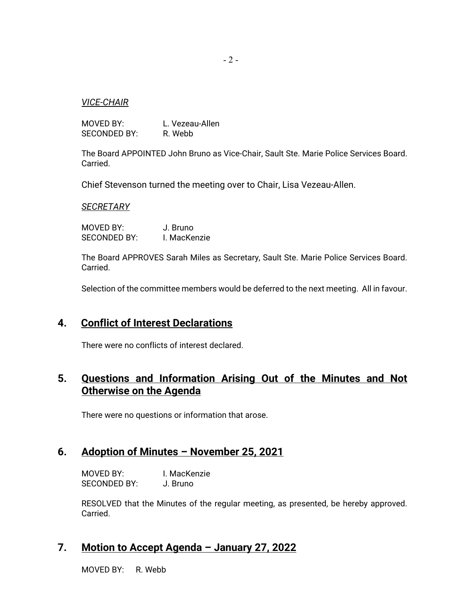#### *VICE-CHAIR*

MOVED BY: L. Vezeau-Allen SECONDED BY: R. Webb

The Board APPOINTED John Bruno as Vice-Chair, Sault Ste. Marie Police Services Board. Carried.

Chief Stevenson turned the meeting over to Chair, Lisa Vezeau-Allen.

#### *SECRETARY*

MOVED BY: J. Bruno SECONDED BY: I. MacKenzie

The Board APPROVES Sarah Miles as Secretary, Sault Ste. Marie Police Services Board. Carried.

Selection of the committee members would be deferred to the next meeting. All in favour.

### **4. Conflict of Interest Declarations**

There were no conflicts of interest declared.

## **5. Questions and Information Arising Out of the Minutes and Not Otherwise on the Agenda**

There were no questions or information that arose.

### **6. Adoption of Minutes – November 25, 2021**

MOVED BY: I. MacKenzie SECONDED BY: J. Bruno

RESOLVED that the Minutes of the regular meeting, as presented, be hereby approved. Carried.

#### **7. Motion to Accept Agenda – January 27, 2022**

MOVED BY: R. Webb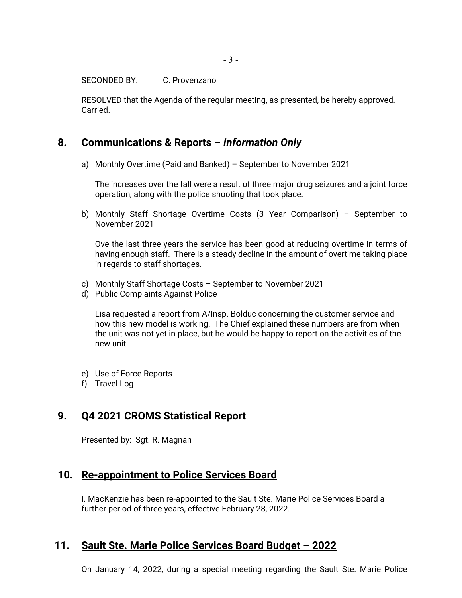SECONDED BY: C. Provenzano

RESOLVED that the Agenda of the regular meeting, as presented, be hereby approved. Carried.

## **8. Communications & Reports –** *Information Only*

a) Monthly Overtime (Paid and Banked) – September to November 2021

The increases over the fall were a result of three major drug seizures and a joint force operation, along with the police shooting that took place.

b) Monthly Staff Shortage Overtime Costs (3 Year Comparison) – September to November 2021

Ove the last three years the service has been good at reducing overtime in terms of having enough staff. There is a steady decline in the amount of overtime taking place in regards to staff shortages.

- c) Monthly Staff Shortage Costs September to November 2021
- d) Public Complaints Against Police

Lisa requested a report from A/Insp. Bolduc concerning the customer service and how this new model is working. The Chief explained these numbers are from when the unit was not yet in place, but he would be happy to report on the activities of the new unit.

- e) Use of Force Reports
- f) Travel Log

## **9. Q4 2021 CROMS Statistical Report**

Presented by: Sgt. R. Magnan

### **10. Re-appointment to Police Services Board**

I. MacKenzie has been re-appointed to the Sault Ste. Marie Police Services Board a further period of three years, effective February 28, 2022.

## **11. Sault Ste. Marie Police Services Board Budget – 2022**

On January 14, 2022, during a special meeting regarding the Sault Ste. Marie Police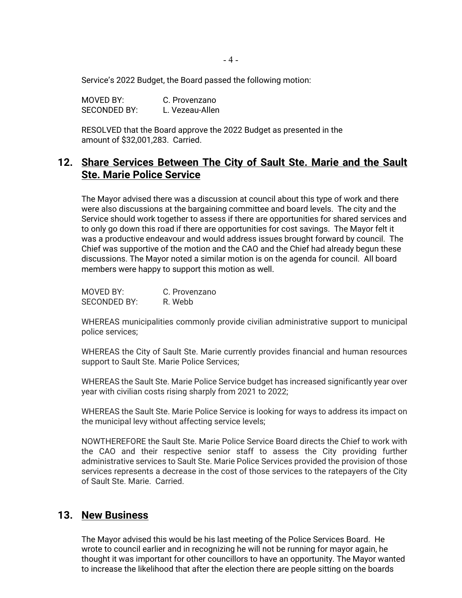Service's 2022 Budget, the Board passed the following motion:

| MOVED BY:    | C. Provenzano   |
|--------------|-----------------|
| SECONDED BY: | L. Vezeau-Allen |

RESOLVED that the Board approve the 2022 Budget as presented in the amount of \$32,001,283. Carried.

## **12. Share Services Between The City of Sault Ste. Marie and the Sault Ste. Marie Police Service**

The Mayor advised there was a discussion at council about this type of work and there were also discussions at the bargaining committee and board levels. The city and the Service should work together to assess if there are opportunities for shared services and to only go down this road if there are opportunities for cost savings. The Mayor felt it was a productive endeavour and would address issues brought forward by council. The Chief was supportive of the motion and the CAO and the Chief had already begun these discussions. The Mayor noted a similar motion is on the agenda for council. All board members were happy to support this motion as well.

| MOVED BY:           | C. Provenzano |
|---------------------|---------------|
| <b>SECONDED BY:</b> | R. Webb       |

WHEREAS municipalities commonly provide civilian administrative support to municipal police services;

WHEREAS the City of Sault Ste. Marie currently provides financial and human resources support to Sault Ste. Marie Police Services;

WHEREAS the Sault Ste. Marie Police Service budget has increased significantly year over year with civilian costs rising sharply from 2021 to 2022;

WHEREAS the Sault Ste. Marie Police Service is looking for ways to address its impact on the municipal levy without affecting service levels;

NOWTHEREFORE the Sault Ste. Marie Police Service Board directs the Chief to work with the CAO and their respective senior staff to assess the City providing further administrative services to Sault Ste. Marie Police Services provided the provision of those services represents a decrease in the cost of those services to the ratepayers of the City of Sault Ste. Marie. Carried.

#### **13. New Business**

The Mayor advised this would be his last meeting of the Police Services Board. He wrote to council earlier and in recognizing he will not be running for mayor again, he thought it was important for other councillors to have an opportunity. The Mayor wanted to increase the likelihood that after the election there are people sitting on the boards